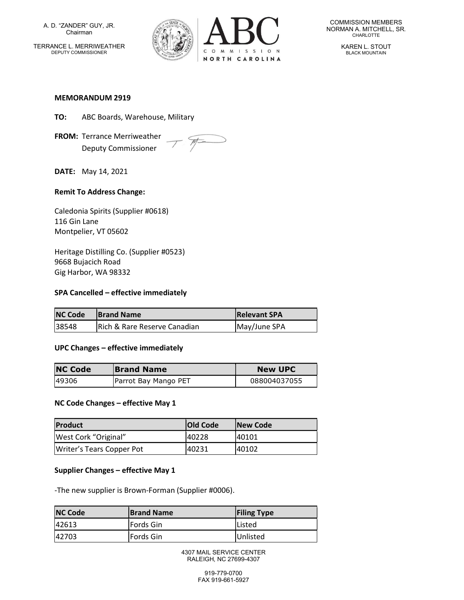A. D. "ZANDER" GUY, JR. Chairman

TERRANCE L. MERRIWEATHER DEPUTY COMMISSIONER



COMMISSION MEMBERS NORMAN A. MITCHELL, SR. CHARLOTTE

> KAREN L. STOUT BLACK MOUNTAIN

#### MEMORANDUM 2919

- TO: ABC Boards, Warehouse, Military
- FROM: Terrance Merriweather Deputy Commissioner



DATE: May 14, 2021

# Remit To Address Change:

Caledonia Spirits (Supplier #0618) 116 Gin Lane Montpelier, VT 05602

Heritage Distilling Co. (Supplier #0523) 9668 Bujacich Road Gig Harbor, WA 98332

### SPA Cancelled – effective immediately

| <b>NC Code</b> | <b>Brand Name</b>            | <b>Relevant SPA</b> |
|----------------|------------------------------|---------------------|
| 38548          | Rich & Rare Reserve Canadian | May/June SPA        |

### UPC Changes – effective immediately

| <b>NC Code</b> | <b>Brand Name</b>    | <b>New UPC</b> |
|----------------|----------------------|----------------|
| 149306         | Parrot Bay Mango PET | 088004037055   |

### NC Code Changes – effective May 1

| <b>Product</b>            | <b>Old Code</b> | <b>New Code</b> |
|---------------------------|-----------------|-----------------|
| West Cork "Original"      | 40228           | 140101          |
| Writer's Tears Copper Pot | 40231           | 40102           |

### Supplier Changes – effective May 1

-The new supplier is Brown-Forman (Supplier #0006).

| <b>NC Code</b> | <b>Brand Name</b> | <b>Filing Type</b> |
|----------------|-------------------|--------------------|
| 142613         | Fords Gin         | lListed            |
| 142703         | Fords Gin         | Unlisted           |

4307 MAIL SERVICE CENTER RALEIGH, NC 27699-4307

> 919-779-0700 FAX 919-661-5927